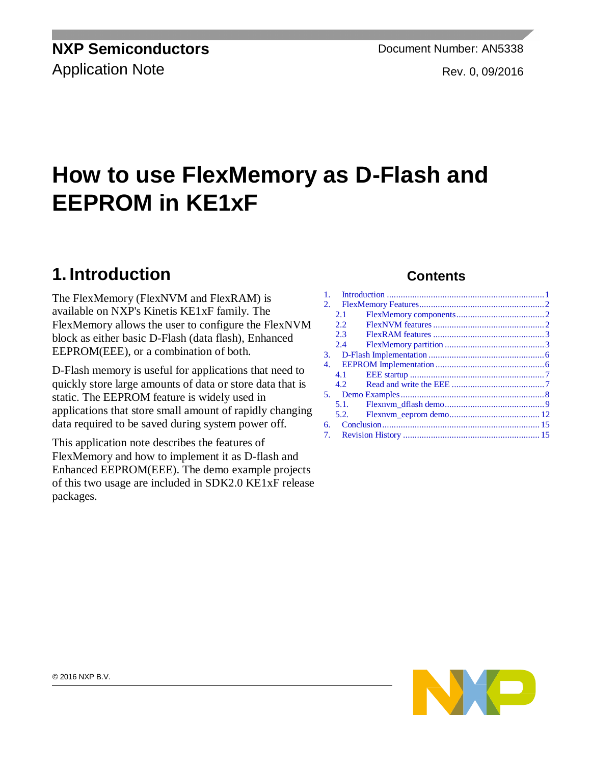Application Note **Rev. 0, 09/2016** 

# **How to use FlexMemory as D-Flash and EEPROM in KE1xF**

# <span id="page-0-0"></span>**1. Introduction**

The FlexMemory (FlexNVM and FlexRAM) is available on NXP's Kinetis KE1xF family. The FlexMemory allows the user to configure the FlexNVM block as either basic D-Flash (data flash), Enhanced EEPROM(EEE), or a combination of both.

D-Flash memory is useful for applications that need to quickly store large amounts of data or store data that is static. The EEPROM feature is widely used in applications that store small amount of rapidly changing data required to be saved during system power off.

This application note describes the features of FlexMemory and how to implement it as D-flash and Enhanced EEPROM(EEE). The demo example projects of this two usage are included in SDK2.0 KE1xF release packages.

### **Contents**

| 1.             |      |  |
|----------------|------|--|
| 2.             |      |  |
|                | 2.1  |  |
|                | 2.2. |  |
|                | 2.3  |  |
|                | 2.4  |  |
|                |      |  |
| 4.             |      |  |
|                | 4.1  |  |
|                | 4.2  |  |
|                |      |  |
|                | 5.1. |  |
|                | 5.2. |  |
| б.             |      |  |
| 7 <sub>1</sub> |      |  |

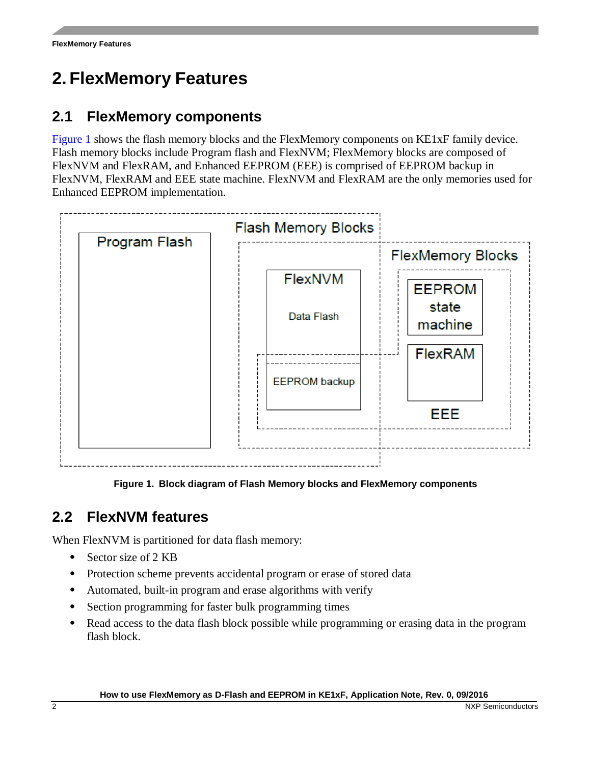# <span id="page-1-0"></span>**2. FlexMemory Features**

### <span id="page-1-1"></span>**2.1 FlexMemory components**

[Figure 1](#page-1-3) shows the flash memory blocks and the FlexMemory components on KE1xF family device. Flash memory blocks include Program flash and FlexNVM; FlexMemory blocks are composed of FlexNVM and FlexRAM, and Enhanced EEPROM (EEE) is comprised of EEPROM backup in FlexNVM, FlexRAM and EEE state machine. FlexNVM and FlexRAM are the only memories used for Enhanced EEPROM implementation.





## <span id="page-1-3"></span><span id="page-1-2"></span>**2.2 FlexNVM features**

When FlexNVM is partitioned for data flash memory:

- Sector size of 2 KB
- Protection scheme prevents accidental program or erase of stored data
- Automated, built-in program and erase algorithms with verify
- Section programming for faster bulk programming times
- Read access to the data flash block possible while programming or erasing data in the program flash block.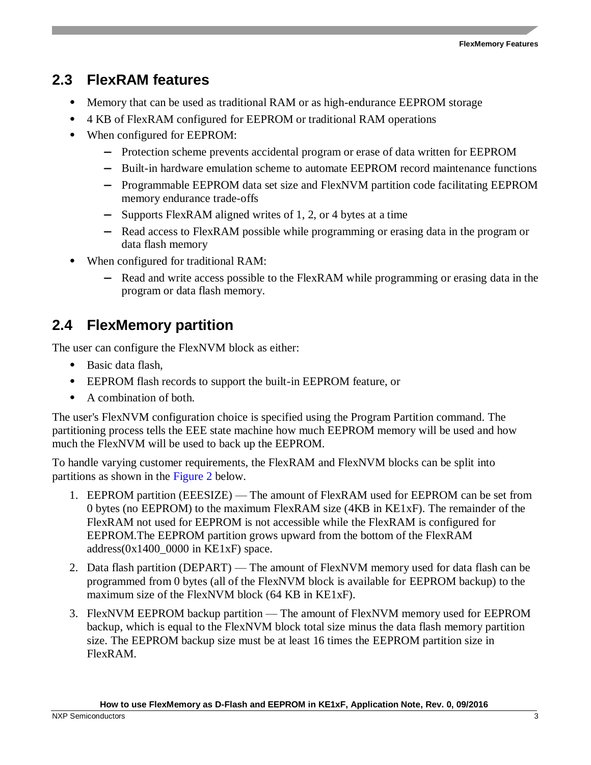### <span id="page-2-0"></span>**2.3 FlexRAM features**

- Memory that can be used as traditional RAM or as high-endurance EEPROM storage
- 4 KB of FlexRAM configured for EEPROM or traditional RAM operations
- When configured for EEPROM:
	- **—** Protection scheme prevents accidental program or erase of data written for EEPROM
	- **—** Built-in hardware emulation scheme to automate EEPROM record maintenance functions
	- **—** Programmable EEPROM data set size and FlexNVM partition code facilitating EEPROM memory endurance trade-offs
	- **—** Supports FlexRAM aligned writes of 1, 2, or 4 bytes at a time
	- **—** Read access to FlexRAM possible while programming or erasing data in the program or data flash memory
- When configured for traditional RAM:
	- **—** Read and write access possible to the FlexRAM while programming or erasing data in the program or data flash memory.

### <span id="page-2-1"></span>**2.4 FlexMemory partition**

The user can configure the FlexNVM block as either:

- Basic data flash,
- EEPROM flash records to support the built-in EEPROM feature, or
- A combination of both.

The user's FlexNVM configuration choice is specified using the Program Partition command. The partitioning process tells the EEE state machine how much EEPROM memory will be used and how much the FlexNVM will be used to back up the EEPROM.

To handle varying customer requirements, the FlexRAM and FlexNVM blocks can be split into partitions as shown in the [Figure 2](#page-3-0) below.

- 1. EEPROM partition (EEESIZE) The amount of FlexRAM used for EEPROM can be set from 0 bytes (no EEPROM) to the maximum FlexRAM size (4KB in KE1xF). The remainder of the FlexRAM not used for EEPROM is not accessible while the FlexRAM is configured for EEPROM.The EEPROM partition grows upward from the bottom of the FlexRAM address $(0x1400\ 0000$  in KE1xF) space.
- 2. Data flash partition (DEPART) The amount of FlexNVM memory used for data flash can be programmed from 0 bytes (all of the FlexNVM block is available for EEPROM backup) to the maximum size of the FlexNVM block (64 KB in KE1xF).
- 3. FlexNVM EEPROM backup partition The amount of FlexNVM memory used for EEPROM backup, which is equal to the FlexNVM block total size minus the data flash memory partition size. The EEPROM backup size must be at least 16 times the EEPROM partition size in FlexRAM.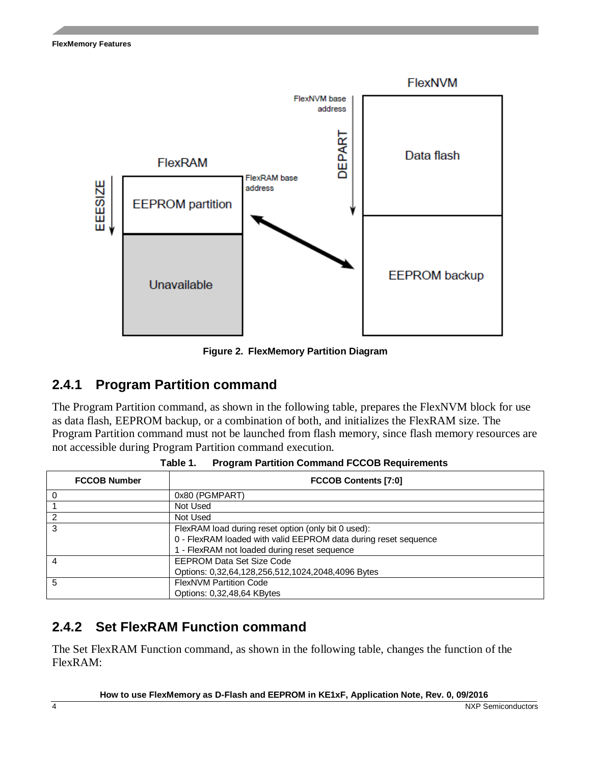

**Figure 2. FlexMemory Partition Diagram**

### <span id="page-3-0"></span>**2.4.1 Program Partition command**

The Program Partition command, as shown in the following table, prepares the FlexNVM block for use as data flash, EEPROM backup, or a combination of both, and initializes the FlexRAM size. The Program Partition command must not be launched from flash memory, since flash memory resources are not accessible during Program Partition command execution.

| <b>FCCOB Number</b> | <b>FCCOB Contents [7:0]</b>                                     |  |  |  |  |  |
|---------------------|-----------------------------------------------------------------|--|--|--|--|--|
|                     | 0x80 (PGMPART)                                                  |  |  |  |  |  |
|                     | Not Used                                                        |  |  |  |  |  |
|                     | Not Used                                                        |  |  |  |  |  |
| 3                   | FlexRAM load during reset option (only bit 0 used):             |  |  |  |  |  |
|                     | 0 - FlexRAM loaded with valid EEPROM data during reset sequence |  |  |  |  |  |
|                     | 1 - FlexRAM not loaded during reset sequence                    |  |  |  |  |  |
|                     | <b>EEPROM Data Set Size Code</b>                                |  |  |  |  |  |
|                     | Options: 0,32,64,128,256,512,1024,2048,4096 Bytes               |  |  |  |  |  |
| 5                   | <b>FlexNVM Partition Code</b>                                   |  |  |  |  |  |
|                     | Options: 0.32,48,64 KBytes                                      |  |  |  |  |  |

**Table 1. Program Partition Command FCCOB Requirements**

#### **2.4.2 Set FlexRAM Function command**

The Set FlexRAM Function command, as shown in the following table, changes the function of the FlexRAM: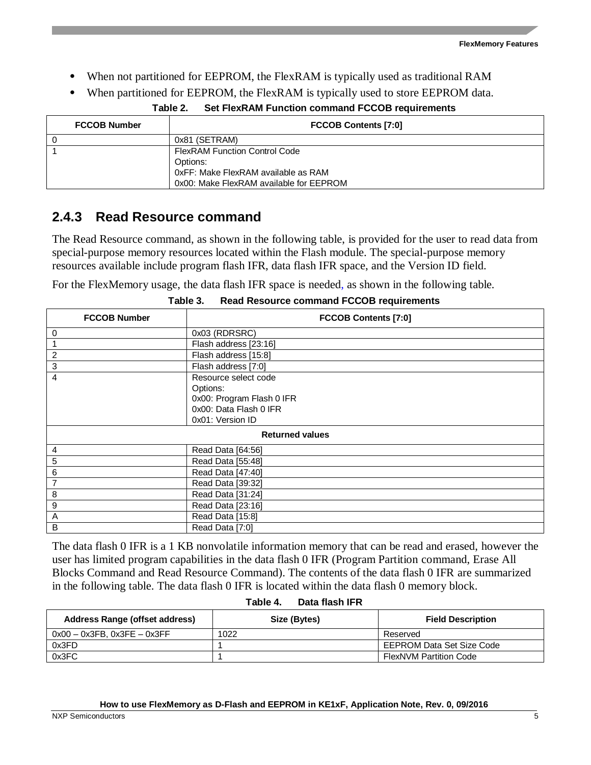- When not partitioned for EEPROM, the FlexRAM is typically used as traditional RAM
- When partitioned for EEPROM, the FlexRAM is typically used to store EEPROM data.

**Table 2. Set FlexRAM Function command FCCOB requirements** 

| <b>FCCOB Number</b> | <b>FCCOB Contents [7:0]</b>                                                                                                        |  |  |  |  |
|---------------------|------------------------------------------------------------------------------------------------------------------------------------|--|--|--|--|
|                     | 0x81 (SETRAM)                                                                                                                      |  |  |  |  |
|                     | <b>FlexRAM Function Control Code</b><br>Options:<br>0xFF: Make FlexRAM available as RAM<br>0x00: Make FlexRAM available for EEPROM |  |  |  |  |

#### **2.4.3 Read Resource command**

The Read Resource command, as shown in the following table, is provided for the user to read data from special-purpose memory resources located within the Flash module. The special-purpose memory resources available include program flash IFR, data flash IFR space, and the Version ID field.

For the FlexMemory usage, the data flash IFR space is needed, as shown in the following table*.*

| <b>FCCOB Number</b> | <b>FCCOB Contents [7:0]</b> |  |  |  |  |  |  |
|---------------------|-----------------------------|--|--|--|--|--|--|
| 0                   | 0x03 (RDRSRC)               |  |  |  |  |  |  |
| 1                   | Flash address [23:16]       |  |  |  |  |  |  |
| $\boldsymbol{2}$    | Flash address [15:8]        |  |  |  |  |  |  |
| $\mathbf 3$         | Flash address [7:0]         |  |  |  |  |  |  |
| 4                   | Resource select code        |  |  |  |  |  |  |
|                     | Options:                    |  |  |  |  |  |  |
|                     | 0x00: Program Flash 0 IFR   |  |  |  |  |  |  |
|                     | 0x00: Data Flash 0 IFR      |  |  |  |  |  |  |
|                     | 0x01: Version ID            |  |  |  |  |  |  |
|                     | <b>Returned values</b>      |  |  |  |  |  |  |
| $\overline{4}$      | Read Data [64:56]           |  |  |  |  |  |  |
| 5                   | Read Data [55:48]           |  |  |  |  |  |  |
| $\,6$               | Read Data [47:40]           |  |  |  |  |  |  |
| $\overline{7}$      | Read Data [39:32]           |  |  |  |  |  |  |
| $\bf 8$             | Read Data [31:24]           |  |  |  |  |  |  |
| 9                   | Read Data [23:16]           |  |  |  |  |  |  |
| A                   | Read Data [15:8]            |  |  |  |  |  |  |
| B                   | Read Data [7:0]             |  |  |  |  |  |  |

**Table 3. Read Resource command FCCOB requirements**

The data flash 0 IFR is a 1 KB nonvolatile information memory that can be read and erased, however the user has limited program capabilities in the data flash 0 IFR (Program Partition command, Erase All Blocks Command and Read Resource Command). The contents of the data flash 0 IFR are summarized in the following table. The data flash 0 IFR is located within the data flash 0 memory block.

| Address Range (offset address)   | Size (Bytes) | <b>Field Description</b>      |  |  |  |  |
|----------------------------------|--------------|-------------------------------|--|--|--|--|
| $0x00 - 0x3FB$ . $0x3FE - 0x3FF$ | 1022         | Reserved                      |  |  |  |  |
| 0x3FD                            |              | EEPROM Data Set Size Code     |  |  |  |  |
| 0x3FC                            |              | <b>FlexNVM Partition Code</b> |  |  |  |  |

#### **Table 4. Data flash IFR**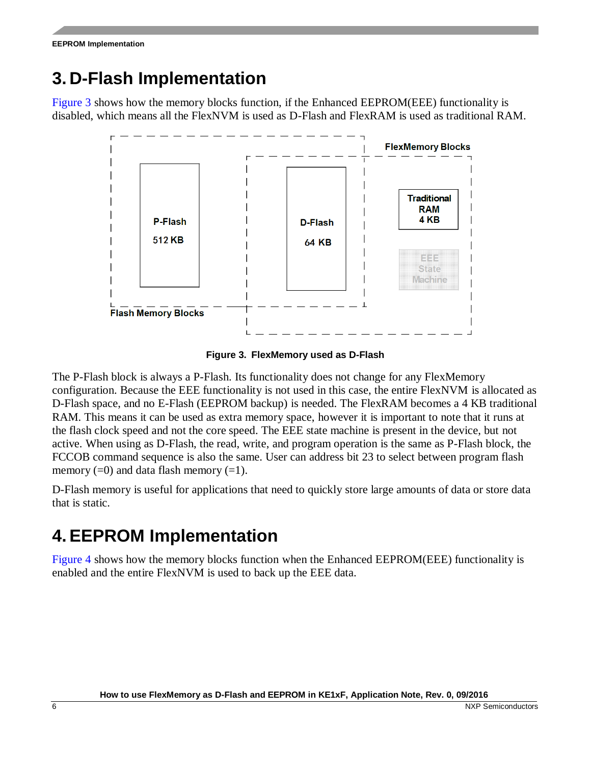# <span id="page-5-0"></span>**3. D-Flash Implementation**

[Figure 3](#page-5-2) shows how the memory blocks function, if the Enhanced EEPROM(EEE) functionality is disabled, which means all the FlexNVM is used as D-Flash and FlexRAM is used as traditional RAM.



**Figure 3. FlexMemory used as D-Flash**

<span id="page-5-2"></span>The P-Flash block is always a P-Flash. Its functionality does not change for any FlexMemory configuration. Because the EEE functionality is not used in this case, the entire FlexNVM is allocated as D-Flash space, and no E-Flash (EEPROM backup) is needed. The FlexRAM becomes a 4 KB traditional RAM. This means it can be used as extra memory space, however it is important to note that it runs at the flash clock speed and not the core speed. The EEE state machine is present in the device, but not active. When using as D-Flash, the read, write, and program operation is the same as P-Flash block, the FCCOB command sequence is also the same. User can address bit 23 to select between program flash memory  $(=0)$  and data flash memory  $(=1)$ .

D-Flash memory is useful for applications that need to quickly store large amounts of data or store data that is static.

# <span id="page-5-1"></span>**4.EEPROM Implementation**

[Figure 4](#page-6-2) shows how the memory blocks function when the Enhanced EEPROM(EEE) functionality is enabled and the entire FlexNVM is used to back up the EEE data.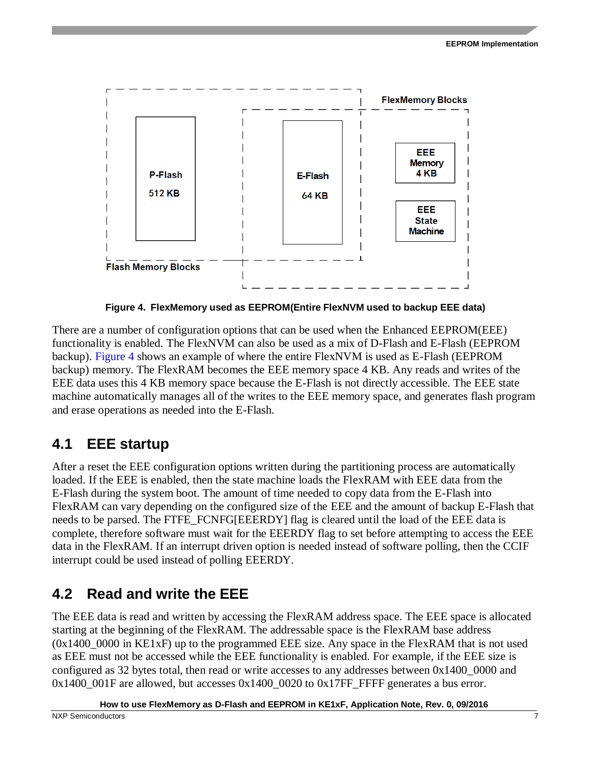

**Figure 4. FlexMemory used as EEPROM(Entire FlexNVM used to backup EEE data)**

<span id="page-6-2"></span>There are a number of configuration options that can be used when the Enhanced EEPROM(EEE) functionality is enabled. The FlexNVM can also be used as a mix of D-Flash and E-Flash (EEPROM backup). [Figure 4](#page-6-2) shows an example of where the entire FlexNVM is used as E-Flash (EEPROM backup) memory. The FlexRAM becomes the EEE memory space 4 KB. Any reads and writes of the EEE data uses this 4 KB memory space because the E-Flash is not directly accessible. The EEE state machine automatically manages all of the writes to the EEE memory space, and generates flash program and erase operations as needed into the E-Flash.

### <span id="page-6-0"></span>**4.1 EEE startup**

After a reset the EEE configuration options written during the partitioning process are automatically loaded. If the EEE is enabled, then the state machine loads the FlexRAM with EEE data from the E-Flash during the system boot. The amount of time needed to copy data from the E-Flash into FlexRAM can vary depending on the configured size of the EEE and the amount of backup E-Flash that needs to be parsed. The FTFE\_FCNFG[EEERDY] flag is cleared until the load of the EEE data is complete, therefore software must wait for the EEERDY flag to set before attempting to access the EEE data in the FlexRAM. If an interrupt driven option is needed instead of software polling, then the CCIF interrupt could be used instead of polling EEERDY.

## <span id="page-6-1"></span>**4.2 Read and write the EEE**

The EEE data is read and written by accessing the FlexRAM address space. The EEE space is allocated starting at the beginning of the FlexRAM. The addressable space is the FlexRAM base address  $(0x1400\_0000$  in KE1xF) up to the programmed EEE size. Any space in the FlexRAM that is not used as EEE must not be accessed while the EEE functionality is enabled. For example, if the EEE size is configured as 32 bytes total, then read or write accesses to any addresses between 0x1400\_0000 and  $0x1400$   $001F$  are allowed, but accesses  $0x1400$   $0020$  to  $0x17FF$  FFFF generates a bus error.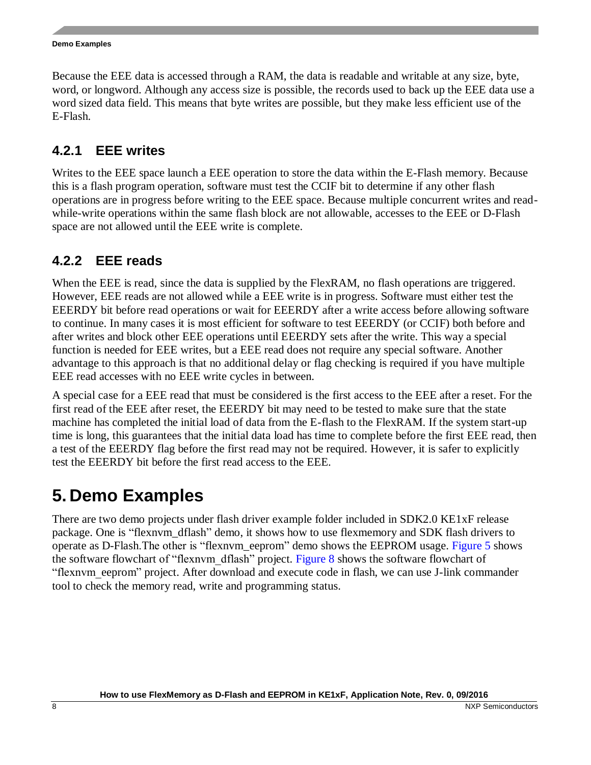Because the EEE data is accessed through a RAM, the data is readable and writable at any size, byte, word, or longword. Although any access size is possible, the records used to back up the EEE data use a word sized data field. This means that byte writes are possible, but they make less efficient use of the E-Flash.

### **4.2.1 EEE writes**

Writes to the EEE space launch a EEE operation to store the data within the E-Flash memory. Because this is a flash program operation, software must test the CCIF bit to determine if any other flash operations are in progress before writing to the EEE space. Because multiple concurrent writes and readwhile-write operations within the same flash block are not allowable, accesses to the EEE or D-Flash space are not allowed until the EEE write is complete.

### **4.2.2 EEE reads**

When the EEE is read, since the data is supplied by the FlexRAM, no flash operations are triggered. However, EEE reads are not allowed while a EEE write is in progress. Software must either test the EEERDY bit before read operations or wait for EEERDY after a write access before allowing software to continue. In many cases it is most efficient for software to test EEERDY (or CCIF) both before and after writes and block other EEE operations until EEERDY sets after the write. This way a special function is needed for EEE writes, but a EEE read does not require any special software. Another advantage to this approach is that no additional delay or flag checking is required if you have multiple EEE read accesses with no EEE write cycles in between.

A special case for a EEE read that must be considered is the first access to the EEE after a reset. For the first read of the EEE after reset, the EEERDY bit may need to be tested to make sure that the state machine has completed the initial load of data from the E-flash to the FlexRAM. If the system start-up time is long, this guarantees that the initial data load has time to complete before the first EEE read, then a test of the EEERDY flag before the first read may not be required. However, it is safer to explicitly test the EEERDY bit before the first read access to the EEE.

# <span id="page-7-0"></span>**5. Demo Examples**

There are two demo projects under flash driver example folder included in SDK2.0 KE1xF release package. One is "flexnvm\_dflash" demo, it shows how to use flexmemory and SDK flash drivers to operate as D-Flash.The other is "flexnvm\_eeprom" demo shows the EEPROM usage. [Figure 5](#page-8-1) shows the software flowchart of "flexnvm\_dflash" project. [Figure 8](#page-11-1) shows the software flowchart of "flexnvm\_eeprom" project. After download and execute code in flash, we can use J-link commander tool to check the memory read, write and programming status.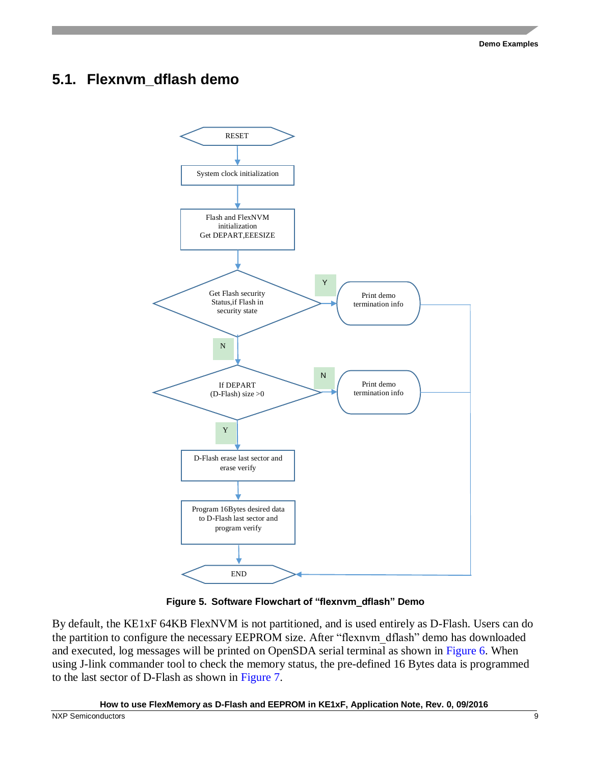### <span id="page-8-0"></span>**5.1. Flexnvm\_dflash demo**



**Figure 5. Software Flowchart of "flexnvm\_dflash" Demo**

<span id="page-8-1"></span>By default, the KE1xF 64KB FlexNVM is not partitioned, and is used entirely as D-Flash. Users can do the partition to configure the necessary EEPROM size. After "flexnvm\_dflash" demo has downloaded and executed, log messages will be printed on OpenSDA serial terminal as shown in [Figure 6.](#page-9-0) When using J-link commander tool to check the memory status, the pre-defined 16 Bytes data is programmed to the last sector of D-Flash as shown in [Figure 7.](#page-10-0)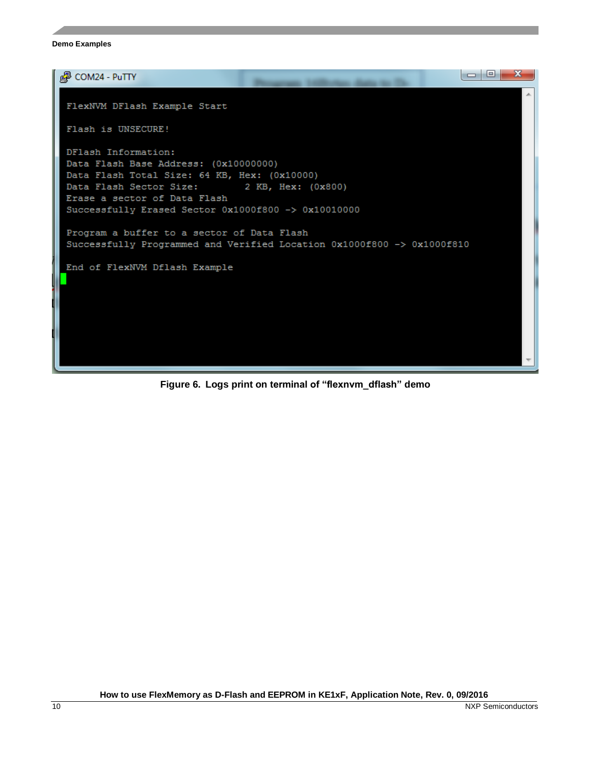<span id="page-9-0"></span>

**Figure 6. Logs print on terminal of "flexnvm\_dflash" demo**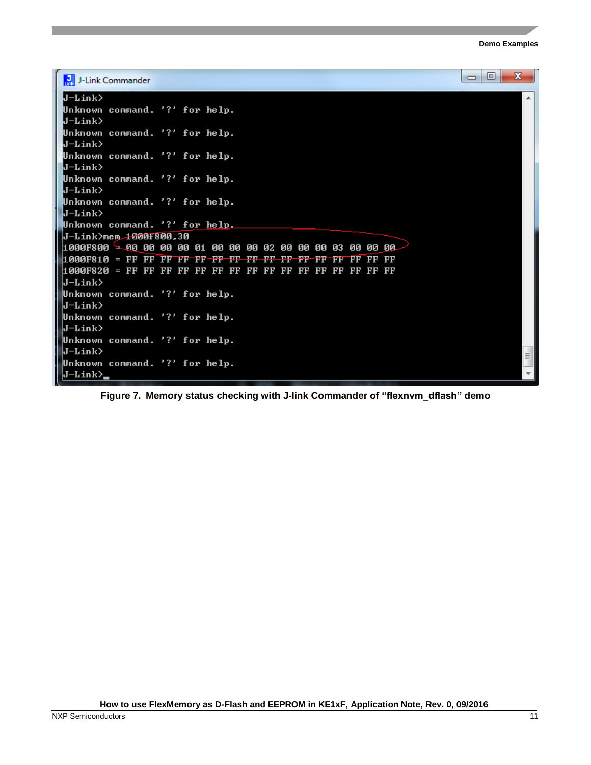```
\overline{\phantom{a}}\overline{\phantom{a}}\overline{\mathbf{x}}J-Link Commander
J-LinkA
Unknown command. '?' for help.
J-Link>
Unknown command. '?' for help.
J-Link>
Unknown command. '?' for help.
J-Link>
Unknown command. '?' for help.
J-Link>
Unknown command. '?' for help.
J-Link>
Unknown command. '?' fo<u>r help.</u>
J-Link>mem<del>.1000F800,30</del>
J-Link>
Unknown command. '?' for help.
J-Link>
Unknown command. '?' for help.
J-Link>
Unknown command. '?' for help.
J-Link>
                                                                         Ξ
Unknown command. '?' for help.
\left| \rm J\text{--} \rm{Link} \right\rangle_
```
<span id="page-10-0"></span>**Figure 7. Memory status checking with J-link Commander of "flexnvm\_dflash" demo**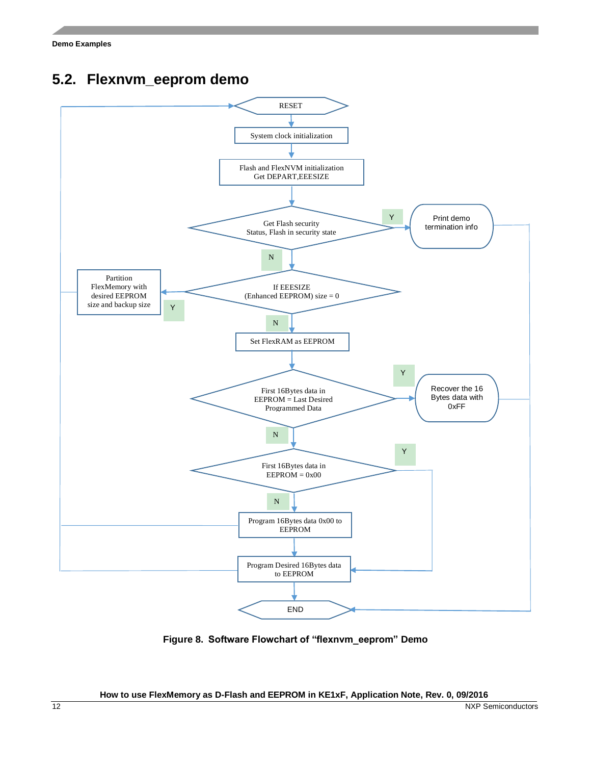<span id="page-11-0"></span>



<span id="page-11-1"></span>**Figure 8. Software Flowchart of "flexnvm\_eeprom" Demo**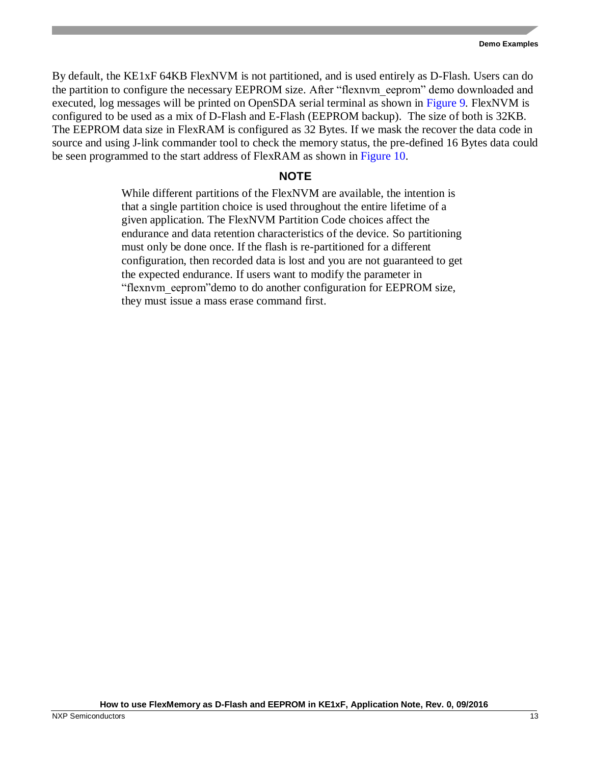By default, the KE1xF 64KB FlexNVM is not partitioned, and is used entirely as D-Flash. Users can do the partition to configure the necessary EEPROM size. After "flexnvm\_eeprom" demo downloaded and executed, log messages will be printed on OpenSDA serial terminal as shown in [Figure 9](#page-13-0)*.* FlexNVM is configured to be used as a mix of D-Flash and E-Flash (EEPROM backup). The size of both is 32KB. The EEPROM data size in FlexRAM is configured as 32 Bytes. If we mask the recover the data code in source and using J-link commander tool to check the memory status, the pre-defined 16 Bytes data could be seen programmed to the start address of FlexRAM as shown in [Figure 10.](#page-14-2)

#### **NOTE**

While different partitions of the FlexNVM are available, the intention is that a single partition choice is used throughout the entire lifetime of a given application. The FlexNVM Partition Code choices affect the endurance and data retention characteristics of the device. So partitioning must only be done once. If the flash is re-partitioned for a different configuration, then recorded data is lost and you are not guaranteed to get the expected endurance. If users want to modify the parameter in "flexnvm\_eeprom"demo to do another configuration for EEPROM size, they must issue a mass erase command first.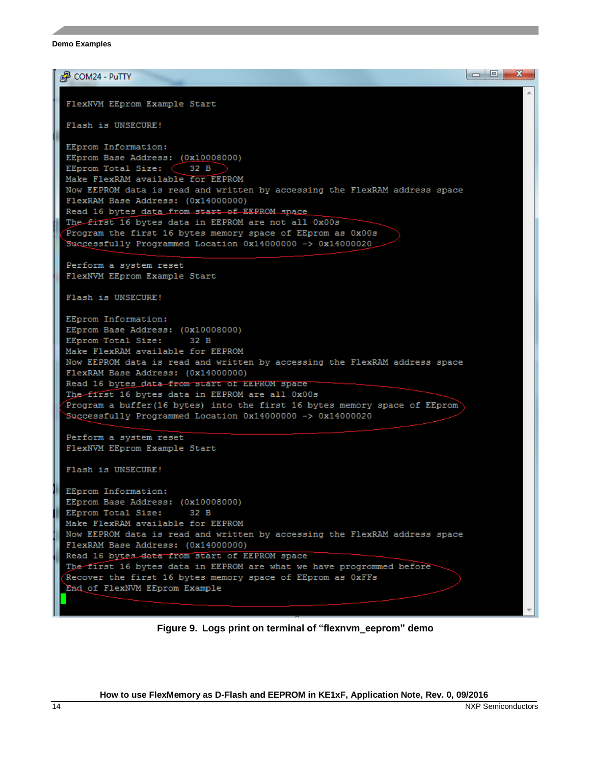品 COM24 - PuTTY FlexNVM EEprom Example Start Flash is UNSECURE! EEprom Information: EEprom Base Address: (0x10008000) EEprom Total Size:  $\left(\begin{array}{c} 32 \text{ B} \end{array}\right)$ Make FlexRAM available for EEPROM Now EEPROM data is read and written by accessing the FlexRAM address space FlexRAM Base Address: (0x14000000) Read 16 bytes data from start of EEPROM space The first 16 bytes data in EEPROM are not all 0x00s Program the first 16 bytes memory space of EEprom as 0x00s Successfully Programmed Location 0x14000000 -> 0x14000020 Perform a system reset FlexNVM EEprom Example Start Flash is UNSECURE! EEprom Information: EEprom Base Address: (0x10008000) EEprom Total Size:  $32 B$ Make FlexRAM available for EEPROM Now EEPROM data is read and written by accessing the FlexRAM address space FlexRAM Base Address: (0x14000000) Read 16 bytes\_data from start of EEPROM space The-first 16 bytes data in EEPROM are all 0x00s Program a buffer (16 bytes) into the first 16 bytes memory space of EEprom Successfully Programmed Location 0x14000000 -> 0x14000020 Perform a system reset FlexNVM EEprom Example Start Flash is UNSECURE! EEprom Information: EEprom Base Address: (0x10008000) EEprom Total Size: 32 B Make FlexRAM available for EEPROM Now EEPROM data is read and written by accessing the FlexRAM address space FlexRAM Base Address: (0x14000000) Read 16 bytes data from start of EEPROM space The first 16 bytes data in EEPROM are what we have progrommed before Recover the first 16 bytes memory space of EEprom as OxFFs End of FlexNVM EEprom Example

<span id="page-13-0"></span>**Figure 9. Logs print on terminal of "flexnvm\_eeprom" demo**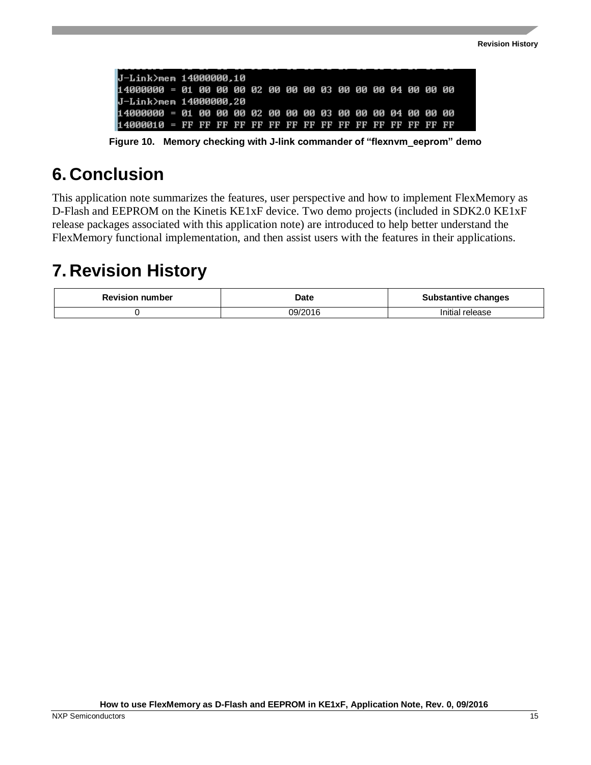| IJ-Link>mem 14000000.10                                     |  |  |  |  |  |  |  |  |
|-------------------------------------------------------------|--|--|--|--|--|--|--|--|
| 114000000 = 01 00 00 00 02 00 00 00 03 00 00 00 04 00 00 00 |  |  |  |  |  |  |  |  |
| ∐-Link>mem 14000000.20                                      |  |  |  |  |  |  |  |  |
| 114000000 = 01 00 00 00 02 00 00 00 03 00 00 00 04 00 00 00 |  |  |  |  |  |  |  |  |
|                                                             |  |  |  |  |  |  |  |  |

**Figure 10. Memory checking with J-link commander of "flexnvm\_eeprom" demo**

## <span id="page-14-2"></span><span id="page-14-0"></span>**6. Conclusion**

This application note summarizes the features, user perspective and how to implement FlexMemory as D-Flash and EEPROM on the Kinetis KE1xF device. Two demo projects (included in SDK2.0 KE1xF release packages associated with this application note) are introduced to help better understand the FlexMemory functional implementation, and then assist users with the features in their applications.

## <span id="page-14-1"></span>**7. Revision History**

| <b>Revision number</b> | Date    | <b>Substantive changes</b> |  |  |  |  |
|------------------------|---------|----------------------------|--|--|--|--|
|                        | 09/2016 | Initial release            |  |  |  |  |